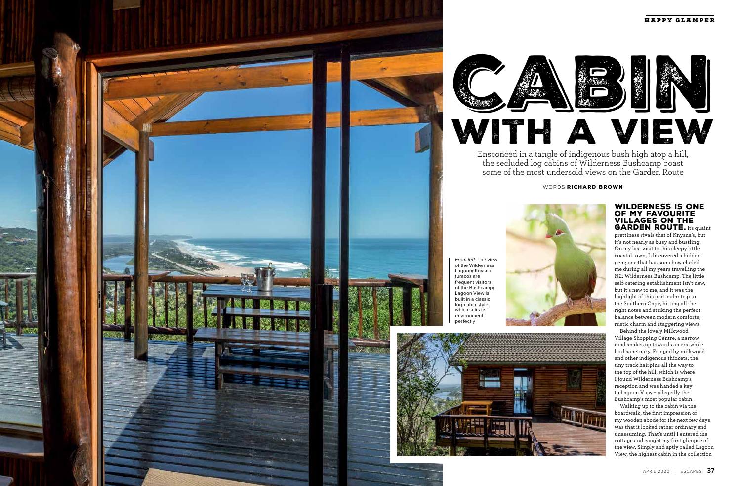## WORDS RICHARD BROWN

Ensconced in a tangle of indigenous bush high atop a hill, the secluded log cabins of Wilderness Bushcamp boast some of the most undersold views on the Garden Route

## WILDERNESS IS ONE OF MY FAVOURITE VILLAGES ON THE **GARDEN ROUTE.** Its quaint







prettiness rivals that of Knysna's, but it's not nearly as busy and bustling. On my last visit to this sleepy little coastal town, I discovered a hidden gem; one that has somehow eluded me during all my years travelling the N2: Wilderness Bushcamp. The little self-catering establishment isn't new, but it's new to me, and it was the highlight of this particular trip to the Southern Cape, hitting all the right notes and striking the perfect balance between modern comforts, rustic charm and staggering views.

Behind the lovely Milkwood Village Shopping Centre, a narrow road snakes up towards an erstwhile bird sanctuary. Fringed by milkwood and other indigenous thickets, the tiny track hairpins all the way to the top of the hill, which is where I found Wilderness Bushcamp's reception and was handed a key to Lagoon View – allegedly the Bushcamp's most popular cabin.

Walking up to the cabin via the boardwalk, the first impression of my wooden abode for the next few days was that it looked rather ordinary and unassuming. That's until I entered the cottage and caught my first glimpse of the view. Simply and aptly called Lagoon View, the highest cabin in the collection

From left: The view of the Wilderness Lagoon; Knysna turacos are frequent visitors of the Bushcamp; Lagoon View is built in a classic log-cabin style, which suits its environment perfectly